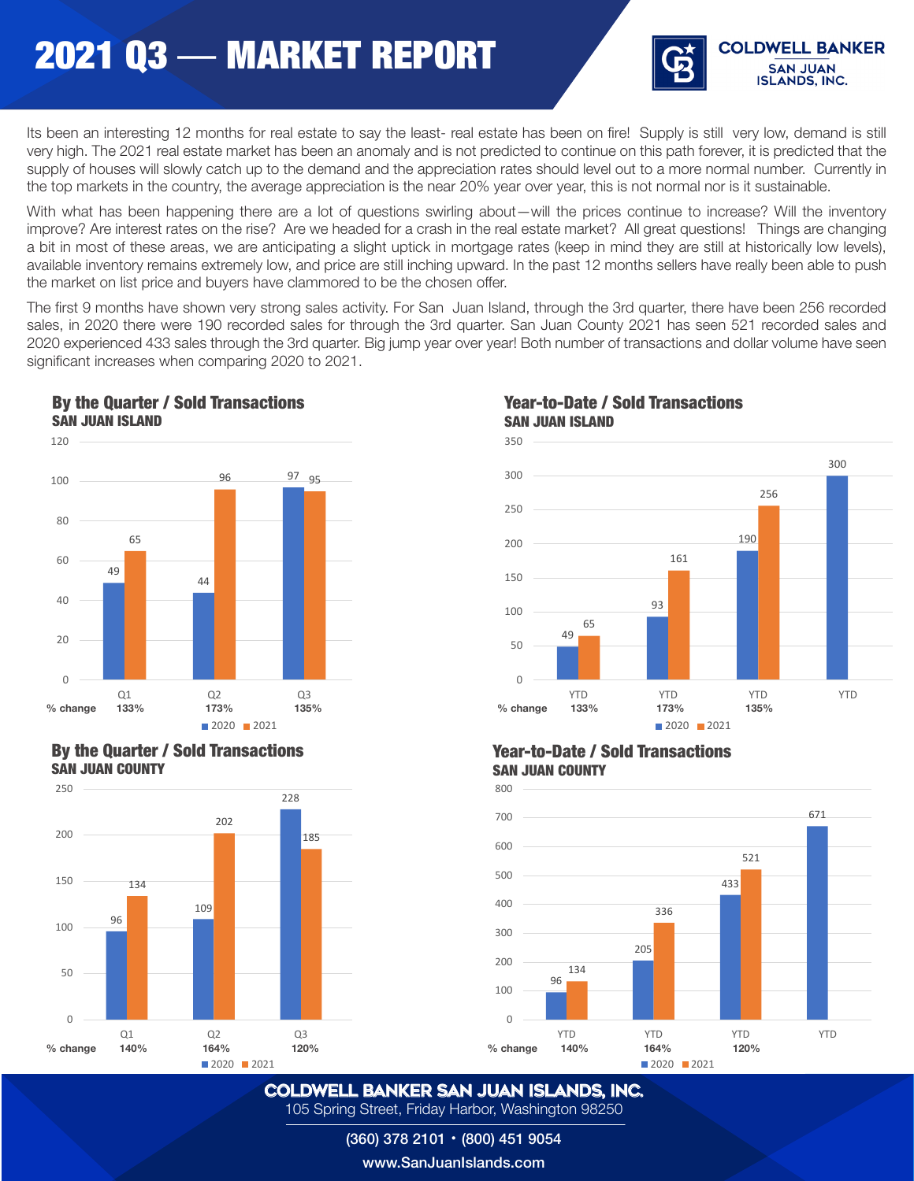

Its been an interesting 12 months for real estate to say the least- real estate has been on fire! Supply is still very low, demand is still very high. The 2021 real estate market has been an anomaly and is not predicted to continue on this path forever, it is predicted that the supply of houses will slowly catch up to the demand and the appreciation rates should level out to a more normal number. Currently in the top markets in the country, the average appreciation is the near 20% year over year, this is not normal nor is it sustainable.

With what has been happening there are a lot of questions swirling about—will the prices continue to increase? Will the inventory improve? Are interest rates on the rise? Are we headed for a crash in the real estate market? All great questions! Things are changing a bit in most of these areas, we are anticipating a slight uptick in mortgage rates (keep in mind they are still at historically low levels), available inventory remains extremely low, and price are still inching upward. In the past 12 months sellers have really been able to push the market on list price and buyers have clammored to be the chosen offer.

The first 9 months have shown very strong sales activity. For San Juan Island, through the 3rd quarter, there have been 256 recorded sales, in 2020 there were 190 recorded sales for through the 3rd quarter. San Juan County 2021 has seen 521 recorded sales and 2020 experienced 433 sales through the 3rd quarter. Big jump year over year! Both number of transactions and dollar volume have seen significant increases when comparing 2020 to 2021. SAN JUAN ISLAND



### By the Quarter / Sold Transactions SAN JUAN COUNTY



### Year-to-Date / Sold Transactions SAN JUAN ISLAND



#### Year-to-Date / Sold Transactions SAN JUAN COUNTY



COLDWELL BANKER SAN JUAN ISLANDS, Inc. 105 Spring Street, Friday Harbor, Washington 98250

(360) 378 2101 • (800) 451 9054

www.SanJuanIslands.com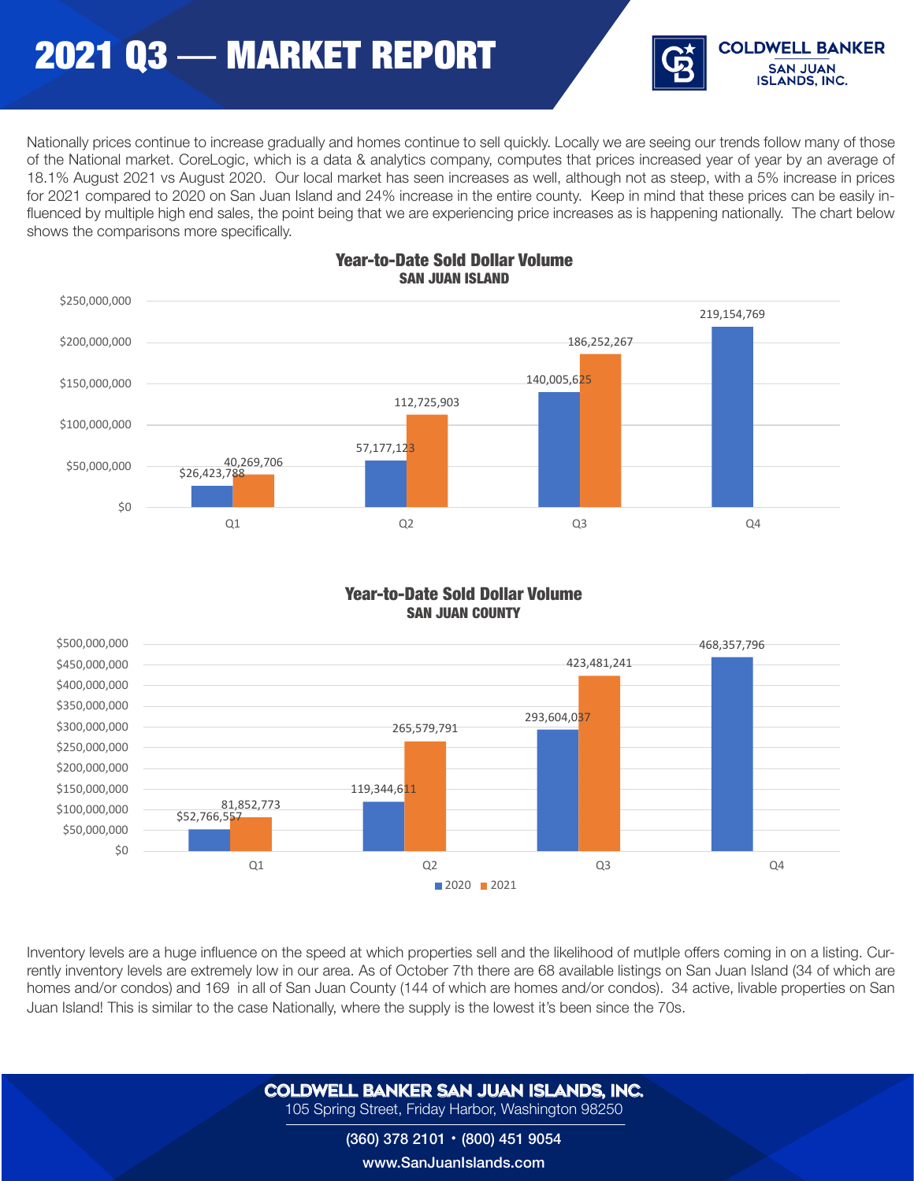# 2021 Q3 — MARKET REPORT



Nationally prices continue to increase gradually and homes continue to sell quickly. Locally we are seeing our trends follow many of those of the National market. CoreLogic, which is a data & analytics company, computes that prices increased year of year by an average of 18.1% August 2021 vs August 2020. Our local market has seen increases as well, although not as steep, with a 5% increase in prices for 2021 compared to 2020 on San Juan Island and 24% increase in the entire county. Keep in mind that these prices can be easily influenced by multiple high end sales, the point being that we are experiencing price increases as is happening nationally. The chart below shows the comparisons more specifically.



#### Year-to-Date Sold Dollar Volume SAN JUAN ISLAND

#### SAN JUAN COUNTY / Sold Dollar Volume SAN JUAN COUNTY **Year-to-Date Sold Dollar Volume**<br>SAN JUAN COUNTY



Inventory levels are a huge influence on the speed at which properties sell and the likelihood of mutlple offers coming in on a listing. Currently inventory levels are extremely low in our area. As of October 7th there are 68 available listings on San Juan Island (34 of which are homes and/or condos) and 169 in all of San Juan County (144 of which are homes and/or condos). 34 active, livable properties on San Juan Island! This is similar to the case Nationally, where the supply is the lowest it's been since the 70s.

> COLDWELL BANKER SAN JUAN ISLANDS, Inc. 105 Spring Street, Friday Harbor, Washington 98250

#### (360) 378 2101 • (800) 451 9054 www.SanJuanIslands.com